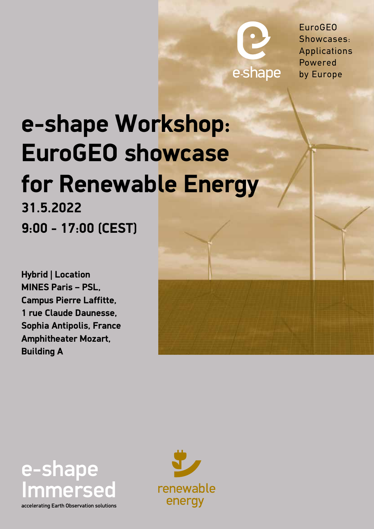e-shape by Europe

EuroGEO Showcases: Applications Powered

## **e-shape Workshop: EuroGEO showcase for Renewable Energy 31.5.2022 9:00 - 17:00 (CEST)**

**Hybrid | Location MINES Paris – PSL, Campus Pierre Laffitte, 1 rue Claude Daunesse, Sophia Antipolis, France Amphitheater Mozart, Building A**



accelerating Earth Observation solutions

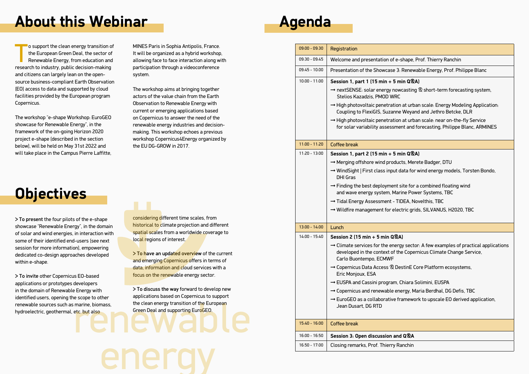o support the clean energy transition of<br>the European Green Deal, the sector of<br>Renewable Energy, from education and<br>research to industry, public decision-making o support the clean energy transition of the European Green Deal, the sector of Renewable Energy, from education and and citizens can largely lean on the opensource business-compliant Earth Observation (EO) access to data and supported by cloud facilities provided by the European program Copernicus.

The workshop "e-shape Workshop: EuroGEO showcase for Renewable Energy", in the framework of the on-going Horizon 2020 project e-shape (described in the section below), will be held on May 31st 2022 and will take place in the Campus Pierre Laffitte, MINES Paris in Sophia Antipolis, France. It will be organized as a hybrid workshop, allowing face to face interaction along with participation through a videoconference system.

> To invite other Copernicus EO-based applications or prototypes developers in the domain of Renewable Energy with identified users, opening the scope to other renewable sources such as marine, biomass, hydroelectric, geothermal, etc. but also

The workshop aims at bringing together actors of the value chain from the Earth Observation to Renewable Energy with current or emerging applications based on Copernicus to answer the need of the renewable energy industries and decisionmaking. This workshop echoes a previous workshop Copernicus4Energy organized by the EU DG-GROW in 2017.

> To have an updated overview of the current and emerging Copernicus offers in terms of data, information and cloud services with a focus on the renewable energy sector.

> To present the four pilots of the e-shape showcase "Renewable Energy", in the domain of solar and wind energies, in interaction with some of their identified end-users (see next session for more information), empowering dedicated co-design approaches developed within e-shape.

considering different time scales, from historical to climate projection and different spatial scales from a worldwide coverage to local regions of interest.

> To discuss the way forward to develop new applications based on Copernicus to support the clean energy transition of the European Green Deal and supporting EuroGEO.

### **About this Webinar**

## **Objectives**

➞ WindSight | First class input data for wind energy models, Torsten Bondo,

site for a combined floating wind

ine Power Systems, TBC

DEA, Novelthis, TBC

tric grids, SILVANUS, H2020, TBC:

 $\n **av** sector: A few examples of practical applications\n **invariant**$ ne Copernicus Climate Change Service,

estinE Core Platform ecosystems,

Chiara Solimini, EUSPA

ergy, Maria Berdhal, DG Defis, TBC

amework to upscale EO derived application,

| Registration                                                                                               |
|------------------------------------------------------------------------------------------------------------|
| Welcome and presentation of e-s                                                                            |
| Presentation of the Showcase 3: F                                                                          |
|                                                                                                            |
| Session 1, part 1 (15 min $+$ 5 mi                                                                         |
| → nextSENSE: solar energy nowd<br>Stelios Kazadzis, PMOD WRC                                               |
| $\rightarrow$ High photovoltaic penetration a<br>Coupling to FlexiGIS, Suzanne '                           |
| $\rightarrow$ High photovoltaic penetration a<br>for solar variability assessmen                           |
| Coffee break                                                                                               |
| Session 1, part 2 (15 min + 5 mi                                                                           |
| $\rightarrow$ Merging offshore wind product                                                                |
| $\rightarrow$ WindSight   First class input da                                                             |
| $\rightarrow$ Finding the best deployment si<br>and wave energy system, Marir                              |
| → Tidal Energy Assessment - TID                                                                            |
| $\rightarrow$ Wildfire management for elect                                                                |
|                                                                                                            |
| Session 2 (15 min + 5 min Q&A)                                                                             |
| $\rightarrow$ Climate services for the energy<br>developed in the context of the<br>Carlo Buontempo, ECMWF |
| $\rightarrow$ Copernicus Data Access $\otimes$ Des<br>Eric Monjoux, ESA                                    |
| → EUSPA and Cassini program, Cl                                                                            |
| $\rightarrow$ Copernicus and renewable ene                                                                 |
| $\rightarrow$ EuroGEO as a collaborative fra<br>Jean Dusart, DG RTD                                        |
| Coffee break                                                                                               |
| Session 3: Open discussion and                                                                             |
|                                                                                                            |

shape, Prof. Thierry Ranchin

Renewable Energy, Prof. Philippe Blanc

### 1**in Q**®A)

 $\nu$  nextems  $\otimes$  short-term forecasting system,

at urban scale: Energy Modeling Application: Weyand and Jethro Betcke, DLR

at urban scale: near on-the-fly Service ent and forecasting, Philippe Blanc, ARMINES

#### $\sin 9$ 20 - 13:00  $\mu$

cts, Merete Badger, DTU

#### 16:00 - 16:50 **Session 3: Open discussion and Q&A**

anchin

# **Agenda**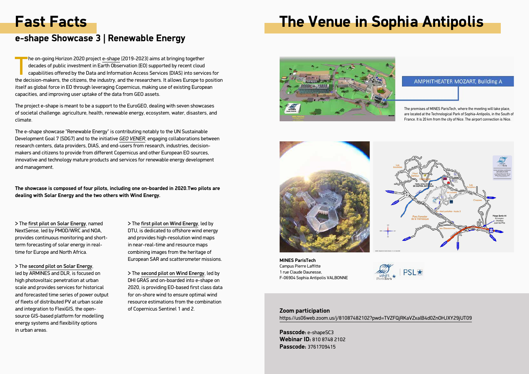The on-going Horizon 2020 project [e-shape \(](https://e-shape.eu)2019-2023) aims at bringing together decades of public investment in Earth Observation (EO) supported by recent cloud capabilities offered by the Data and Information Access Services (DIAS) into services for the decision-makers, the citizens, the industry, and the researchers. It allows Europe to position itself as global force in EO through leveraging Copernicus, making use of existing European capacities, and improving user uptake of the data from GEO assets.

The project e-shape is meant to be a support to the EuroGEO, dealing with seven showcases of societal challenge: agriculture, health, renewable energy, ecosystem, water, disasters, and climate.

The e-shape showcase "Renewable Energy" is contributing notably to the UN Sustainable Development Goal 7 (SDG7) and to the initiative *[GEO VENER](https://www.earthobservations.org/documents/gwp20_22/GEO-VENER.pdf)*, engaging collaborations between research centers, data providers, DIAS, and end-users from research, industries, decisionmakers and citizens to provide from different Copernicus and other European EO sources, innovative and technology mature products and services for renewable energy development and management.

**The showcase is composed of four pilots, including one on-boarded in 2020.Two pilots are dealing with Solar Energy and the two others with Wind Energy.**

### **Fast Facts**

### **e-shape Showcase 3 | Renewable Energy**

> The [first pilot on Solar Energy](https://e-shape.eu/index.php/showcases/pilot3-1-nextsense-solar-energy-nowcasting-and-short-term-forecasting-system), named NextSense, led by PMOD/WRC and NOA, provides continuous monitoring and shortterm forecasting of solar energy in realtime for Europe and North Africa.

> The [second pilot on Solar Energy](https://e-shape.eu/index.php/showcases/pilot3-2-high-photovoltaic-penetration-at-urban-scale), led by ARMINES and DLR, is focused on high photovoltaic penetration at urban scale and provides services for historical and forecasted time series of power output of fleets of distributed PV at urban scale and integration to FlexiGIS, the opensource GIS-based platform for modelling energy systems and flexibility options in urban areas.

> The [first pilot on Wind Energy](https://e-shape.eu/index.php/showcases/pilot3-3-merging-offshore-wind-products), led by DTU, is dedicated to offshore wind energy and provides high-resolution wind maps in near-real-time and resource maps combining images from the heritage of European SAR and scatterometer missions.

> The [second pilot on Wind Energy](https://e-shape.eu/index.php/showcases/pilot-3-4-windsight-first-class-input-data-for-wind-energy-models), led by DHI GRAS and on-boarded into e-shape on 2020, is providing EO-based first class data for on-shore wind to ensure optimal wind resource estimations from the combination of Copernicus Sentinel 1 and 2.

**MINES ParisTech** Campus Pierre Laffitte 1 rue Claude Daunesse, F-06904 Sophia Antipolis VALBONNE



The premises of MINES ParisTech, where the meeting will take place, are located at the Technological Park of Sophia-Antipolis, in the South of France. It is 20 km from the city of Nice. The airport connection is Nice.



## **Τhe Venue in Sophia Antipolis**





**Ζoom participation** <https://us06web.zoom.us/j/81087482102?pwd=TVZFQjRKaVZxalB4d0ZnOHJXY29jUT09>

**Passcode:** e-shapeSC3 **Webinar ID:** 810 8748 2102 **Passcode:** 3761709415

### **AMPHITHEATER MOZART, Building A**